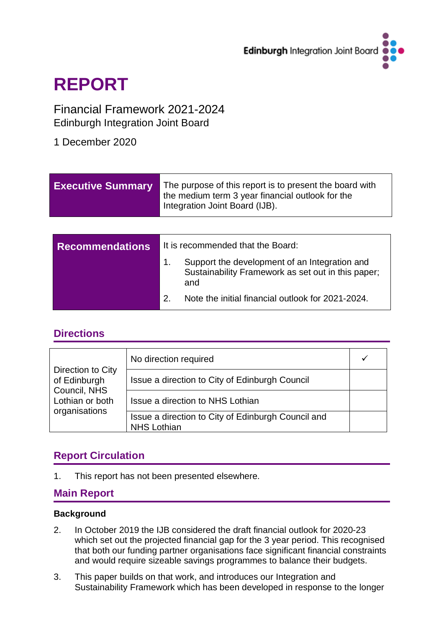

# **REPORT**

## Financial Framework 2021-2024 Edinburgh Integration Joint Board

1 December 2020

| <b>Executive Summary</b> |                                   | The purpose of this report is to present the board with<br>the medium term 3 year financial outlook for the<br>Integration Joint Board (IJB). |  |
|--------------------------|-----------------------------------|-----------------------------------------------------------------------------------------------------------------------------------------------|--|
|                          |                                   |                                                                                                                                               |  |
| <b>Recommendations</b>   | It is recommended that the Board: |                                                                                                                                               |  |
|                          | 1.                                | Support the development of an Integration and<br>Sustainability Framework as set out in this paper;<br>and                                    |  |
|                          | 2                                 | Note the initial financial outlook for 2021-2024.                                                                                             |  |

### **Directions**

| Direction to City<br>of Edinburgh<br>Council, NHS<br>Lothian or both<br>organisations | No direction required                                                    |  |
|---------------------------------------------------------------------------------------|--------------------------------------------------------------------------|--|
|                                                                                       | Issue a direction to City of Edinburgh Council                           |  |
|                                                                                       | Issue a direction to NHS Lothian                                         |  |
|                                                                                       | Issue a direction to City of Edinburgh Council and<br><b>NHS Lothian</b> |  |

## **Report Circulation**

1. This report has not been presented elsewhere.

### **Main Report**

### **Background**

- 2. In October 2019 the IJB considered the draft financial outlook for 2020-23 which set out the projected financial gap for the 3 year period. This recognised that both our funding partner organisations face significant financial constraints and would require sizeable savings programmes to balance their budgets.
- 3. This paper builds on that work, and introduces our Integration and Sustainability Framework which has been developed in response to the longer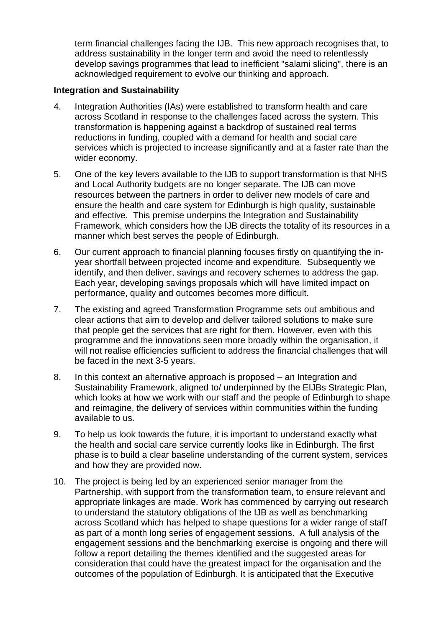term financial challenges facing the IJB. This new approach recognises that, to address sustainability in the longer term and avoid the need to relentlessly develop savings programmes that lead to inefficient "salami slicing", there is an acknowledged requirement to evolve our thinking and approach.

#### **Integration and Sustainability**

- 4. Integration Authorities (IAs) were established to transform health and care across Scotland in response to the challenges faced across the system. This transformation is happening against a backdrop of sustained real terms reductions in funding, coupled with a demand for health and social care services which is projected to increase significantly and at a faster rate than the wider economy.
- 5. One of the key levers available to the IJB to support transformation is that NHS and Local Authority budgets are no longer separate. The IJB can move resources between the partners in order to deliver new models of care and ensure the health and care system for Edinburgh is high quality, sustainable and effective. This premise underpins the Integration and Sustainability Framework, which considers how the IJB directs the totality of its resources in a manner which best serves the people of Edinburgh.
- 6. Our current approach to financial planning focuses firstly on quantifying the inyear shortfall between projected income and expenditure. Subsequently we identify, and then deliver, savings and recovery schemes to address the gap. Each year, developing savings proposals which will have limited impact on performance, quality and outcomes becomes more difficult.
- 7. The existing and agreed Transformation Programme sets out ambitious and clear actions that aim to develop and deliver tailored solutions to make sure that people get the services that are right for them. However, even with this programme and the innovations seen more broadly within the organisation, it will not realise efficiencies sufficient to address the financial challenges that will be faced in the next 3-5 years.
- 8. In this context an alternative approach is proposed an Integration and Sustainability Framework, aligned to/ underpinned by the EIJBs Strategic Plan, which looks at how we work with our staff and the people of Edinburgh to shape and reimagine, the delivery of services within communities within the funding available to us.
- 9. To help us look towards the future, it is important to understand exactly what the health and social care service currently looks like in Edinburgh. The first phase is to build a clear baseline understanding of the current system, services and how they are provided now.
- 10. The project is being led by an experienced senior manager from the Partnership, with support from the transformation team, to ensure relevant and appropriate linkages are made. Work has commenced by carrying out research to understand the statutory obligations of the IJB as well as benchmarking across Scotland which has helped to shape questions for a wider range of staff as part of a month long series of engagement sessions. A full analysis of the engagement sessions and the benchmarking exercise is ongoing and there will follow a report detailing the themes identified and the suggested areas for consideration that could have the greatest impact for the organisation and the outcomes of the population of Edinburgh. It is anticipated that the Executive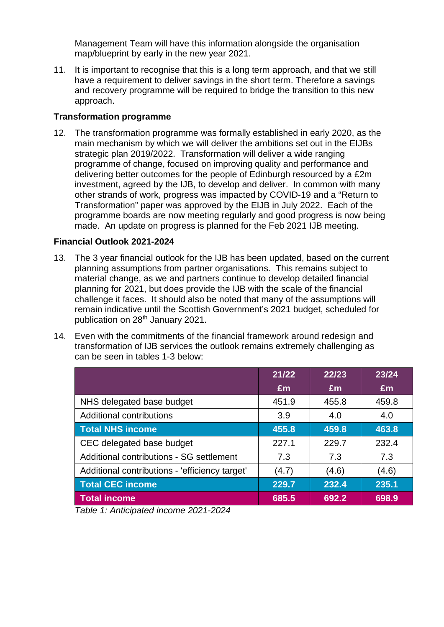Management Team will have this information alongside the organisation map/blueprint by early in the new year 2021.

11. It is important to recognise that this is a long term approach, and that we still have a requirement to deliver savings in the short term. Therefore a savings and recovery programme will be required to bridge the transition to this new approach.

### **Transformation programme**

12. The transformation programme was formally established in early 2020, as the main mechanism by which we will deliver the ambitions set out in the EIJBs strategic plan 2019/2022. Transformation will deliver a wide ranging programme of change, focused on improving quality and performance and delivering better outcomes for the people of Edinburgh resourced by a £2m investment, agreed by the IJB, to develop and deliver. In common with many other strands of work, progress was impacted by COVID-19 and a "Return to Transformation" paper was approved by the EIJB in July 2022. Each of the programme boards are now meeting regularly and good progress is now being made. An update on progress is planned for the Feb 2021 IJB meeting.

### **Financial Outlook 2021-2024**

- 13. The 3 year financial outlook for the IJB has been updated, based on the current planning assumptions from partner organisations. This remains subject to material change, as we and partners continue to develop detailed financial planning for 2021, but does provide the IJB with the scale of the financial challenge it faces. It should also be noted that many of the assumptions will remain indicative until the Scottish Government's 2021 budget, scheduled for publication on 28<sup>th</sup> January 2021.
- 14. Even with the commitments of the financial framework around redesign and transformation of IJB services the outlook remains extremely challenging as can be seen in tables 1-3 below:

|                                                | 21/22 | 22/23 | 23/24 |
|------------------------------------------------|-------|-------|-------|
|                                                | Em    | Em    | £m    |
| NHS delegated base budget                      | 451.9 | 455.8 | 459.8 |
| <b>Additional contributions</b>                | 3.9   | 4.0   | 4.0   |
| <b>Total NHS income</b>                        | 455.8 | 459.8 | 463.8 |
| CEC delegated base budget                      | 227.1 | 229.7 | 232.4 |
| Additional contributions - SG settlement       | 7.3   | 7.3   | 7.3   |
| Additional contributions - 'efficiency target' | (4.7) | (4.6) | (4.6) |
| <b>Total CEC income</b>                        | 229.7 | 232.4 | 235.1 |
| <b>Total income</b>                            | 685.5 | 692.2 | 698.9 |

*Table 1: Anticipated income 2021-2024*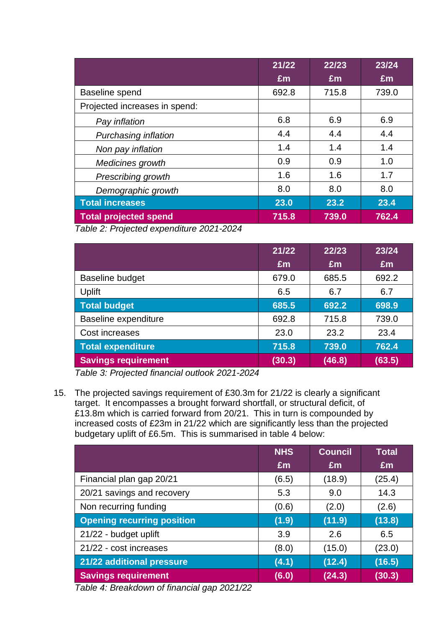|                               | 21/22 | 22/23 | 23/24 |
|-------------------------------|-------|-------|-------|
|                               | Em    | Em    | £m    |
| Baseline spend                | 692.8 | 715.8 | 739.0 |
| Projected increases in spend: |       |       |       |
| Pay inflation                 | 6.8   | 6.9   | 6.9   |
| Purchasing inflation          | 4.4   | 4.4   | 4.4   |
| Non pay inflation             | 1.4   | 1.4   | 1.4   |
| Medicines growth              | 0.9   | 0.9   | 1.0   |
| Prescribing growth            | 1.6   | 1.6   | 1.7   |
| Demographic growth            | 8.0   | 8.0   | 8.0   |
| <b>Total increases</b>        | 23.0  | 23.2  | 23.4  |
| <b>Total projected spend</b>  | 715.8 | 739.0 | 762.4 |

*Table 2: Projected expenditure 2021-2024*

|                            | 21/22  | 22/23  | 23/24  |
|----------------------------|--------|--------|--------|
|                            | £m     | £m     | £m     |
| <b>Baseline budget</b>     | 679.0  | 685.5  | 692.2  |
| Uplift                     | 6.5    | 6.7    | 6.7    |
| <b>Total budget</b>        | 685.5  | 692.2  | 698.9  |
| Baseline expenditure       | 692.8  | 715.8  | 739.0  |
| Cost increases             | 23.0   | 23.2   | 23.4   |
| <b>Total expenditure</b>   | 715.8  | 739.0  | 762.4  |
| <b>Savings requirement</b> | (30.3) | (46.8) | (63.5) |

*Table 3: Projected financial outlook 2021-2024*

15. The projected savings requirement of £30.3m for 21/22 is clearly a significant target. It encompasses a brought forward shortfall, or structural deficit, of £13.8m which is carried forward from 20/21. This in turn is compounded by increased costs of £23m in 21/22 which are significantly less than the projected budgetary uplift of £6.5m. This is summarised in table 4 below:

|                                   | <b>NHS</b> | <b>Council</b> | <b>Total</b> |
|-----------------------------------|------------|----------------|--------------|
|                                   | Em         | Em             | £m           |
| Financial plan gap 20/21          | (6.5)      | (18.9)         | (25.4)       |
| 20/21 savings and recovery        | 5.3        | 9.0            | 14.3         |
| Non recurring funding             | (0.6)      | (2.0)          | (2.6)        |
| <b>Opening recurring position</b> | (1.9)      | (11.9)         | (13.8)       |
| 21/22 - budget uplift             | 3.9        | 2.6            | 6.5          |
| 21/22 - cost increases            | (8.0)      | (15.0)         | (23.0)       |
| 21/22 additional pressure         | (4.1)      | (12.4)         | (16.5)       |
| <b>Savings requirement</b>        | (6.0)      | (24.3)         | (30.3)       |

*Table 4: Breakdown of financial gap 2021/22*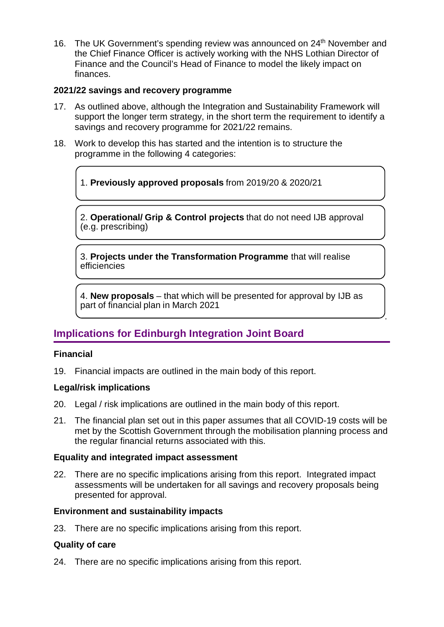16. The UK Government's spending review was announced on 24<sup>th</sup> November and the Chief Finance Officer is actively working with the NHS Lothian Director of Finance and the Council's Head of Finance to model the likely impact on finances.

### **2021/22 savings and recovery programme**

- 17. As outlined above, although the Integration and Sustainability Framework will support the longer term strategy, in the short term the requirement to identify a savings and recovery programme for 2021/22 remains.
- 18. Work to develop this has started and the intention is to structure the programme in the following 4 categories:

1. **Previously approved proposals** from 2019/20 & 2020/21

2. **Operational/ Grip & Control projects** that do not need IJB approval (e.g. prescribing)

3. **Projects under the Transformation Programme** that will realise efficiencies

4. **New proposals** – that which will be presented for approval by IJB as part of financial plan in March 2021

.

## **Implications for Edinburgh Integration Joint Board**

### **Financial**

19. Financial impacts are outlined in the main body of this report.

### **Legal/risk implications**

- 20. Legal / risk implications are outlined in the main body of this report.
- 21. The financial plan set out in this paper assumes that all COVID-19 costs will be met by the Scottish Government through the mobilisation planning process and the regular financial returns associated with this.

### **Equality and integrated impact assessment**

22. There are no specific implications arising from this report. Integrated impact assessments will be undertaken for all savings and recovery proposals being presented for approval.

### **Environment and sustainability impacts**

23. There are no specific implications arising from this report.

### **Quality of care**

24. There are no specific implications arising from this report.